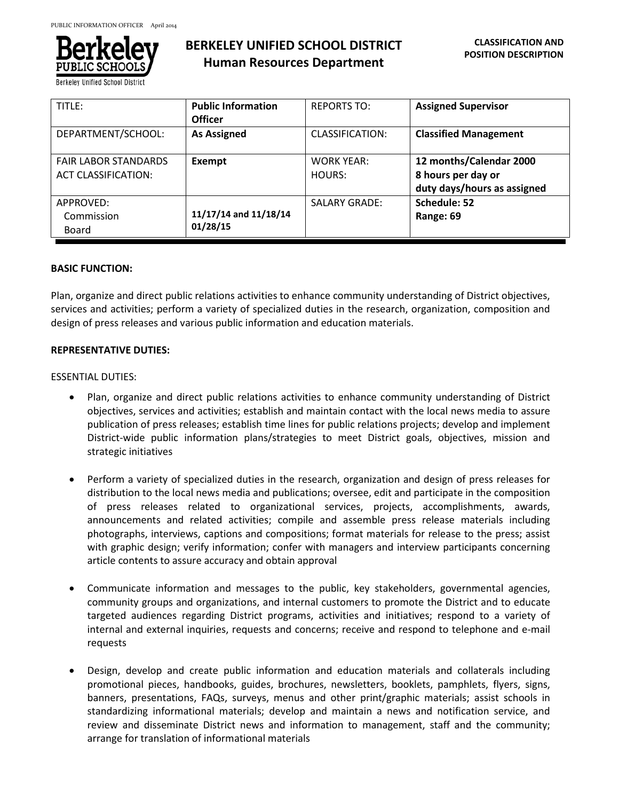

**Berkeley Unified School District** 

# **BERKELEY UNIFIED SCHOOL DISTRICT Human Resources Department**

| TITLE:                                             | <b>Public Information</b><br><b>Officer</b> | <b>REPORTS TO:</b>          | <b>Assigned Supervisor</b>                                                   |
|----------------------------------------------------|---------------------------------------------|-----------------------------|------------------------------------------------------------------------------|
| DEPARTMENT/SCHOOL:                                 | <b>As Assigned</b>                          | CLASSIFICATION:             | <b>Classified Management</b>                                                 |
| <b>FAIR LABOR STANDARDS</b><br>ACT CLASSIFICATION: | Exempt                                      | <b>WORK YEAR:</b><br>HOURS: | 12 months/Calendar 2000<br>8 hours per day or<br>duty days/hours as assigned |
| APPROVED:<br>Commission<br>Board                   | 11/17/14 and 11/18/14<br>01/28/15           | <b>SALARY GRADE:</b>        | Schedule: 52<br>Range: 69                                                    |

# **BASIC FUNCTION:**

Plan, organize and direct public relations activities to enhance community understanding of District objectives, services and activities; perform a variety of specialized duties in the research, organization, composition and design of press releases and various public information and education materials.

# **REPRESENTATIVE DUTIES:**

## ESSENTIAL DUTIES:

- Plan, organize and direct public relations activities to enhance community understanding of District objectives, services and activities; establish and maintain contact with the local news media to assure publication of press releases; establish time lines for public relations projects; develop and implement District-wide public information plans/strategies to meet District goals, objectives, mission and strategic initiatives
- Perform a variety of specialized duties in the research, organization and design of press releases for distribution to the local news media and publications; oversee, edit and participate in the composition of press releases related to organizational services, projects, accomplishments, awards, announcements and related activities; compile and assemble press release materials including photographs, interviews, captions and compositions; format materials for release to the press; assist with graphic design; verify information; confer with managers and interview participants concerning article contents to assure accuracy and obtain approval
- Communicate information and messages to the public, key stakeholders, governmental agencies, community groups and organizations, and internal customers to promote the District and to educate targeted audiences regarding District programs, activities and initiatives; respond to a variety of internal and external inquiries, requests and concerns; receive and respond to telephone and e-mail requests
- Design, develop and create public information and education materials and collaterals including promotional pieces, handbooks, guides, brochures, newsletters, booklets, pamphlets, flyers, signs, banners, presentations, FAQs, surveys, menus and other print/graphic materials; assist schools in standardizing informational materials; develop and maintain a news and notification service, and review and disseminate District news and information to management, staff and the community; arrange for translation of informational materials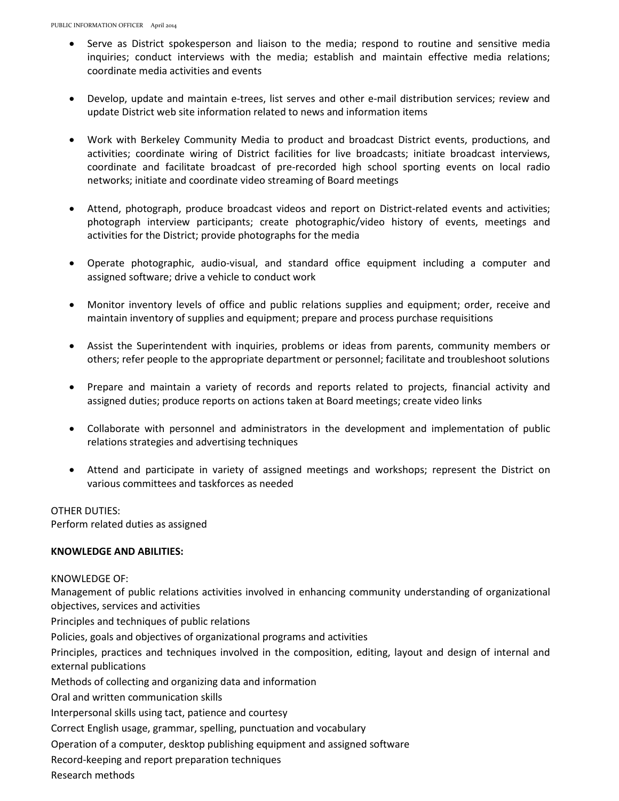- Serve as District spokesperson and liaison to the media; respond to routine and sensitive media inquiries; conduct interviews with the media; establish and maintain effective media relations; coordinate media activities and events
- Develop, update and maintain e-trees, list serves and other e-mail distribution services; review and update District web site information related to news and information items
- Work with Berkeley Community Media to product and broadcast District events, productions, and activities; coordinate wiring of District facilities for live broadcasts; initiate broadcast interviews, coordinate and facilitate broadcast of pre-recorded high school sporting events on local radio networks; initiate and coordinate video streaming of Board meetings
- Attend, photograph, produce broadcast videos and report on District-related events and activities; photograph interview participants; create photographic/video history of events, meetings and activities for the District; provide photographs for the media
- Operate photographic, audio-visual, and standard office equipment including a computer and assigned software; drive a vehicle to conduct work
- Monitor inventory levels of office and public relations supplies and equipment; order, receive and maintain inventory of supplies and equipment; prepare and process purchase requisitions
- Assist the Superintendent with inquiries, problems or ideas from parents, community members or others; refer people to the appropriate department or personnel; facilitate and troubleshoot solutions
- Prepare and maintain a variety of records and reports related to projects, financial activity and assigned duties; produce reports on actions taken at Board meetings; create video links
- Collaborate with personnel and administrators in the development and implementation of public relations strategies and advertising techniques
- Attend and participate in variety of assigned meetings and workshops; represent the District on various committees and taskforces as needed

## OTHER DUTIES:

Perform related duties as assigned

## **KNOWLEDGE AND ABILITIES:**

#### KNOWLEDGE OF:

Management of public relations activities involved in enhancing community understanding of organizational objectives, services and activities

Principles and techniques of public relations

Policies, goals and objectives of organizational programs and activities

Principles, practices and techniques involved in the composition, editing, layout and design of internal and external publications

Methods of collecting and organizing data and information

Oral and written communication skills

Interpersonal skills using tact, patience and courtesy

Correct English usage, grammar, spelling, punctuation and vocabulary

Operation of a computer, desktop publishing equipment and assigned software

Record-keeping and report preparation techniques

Research methods